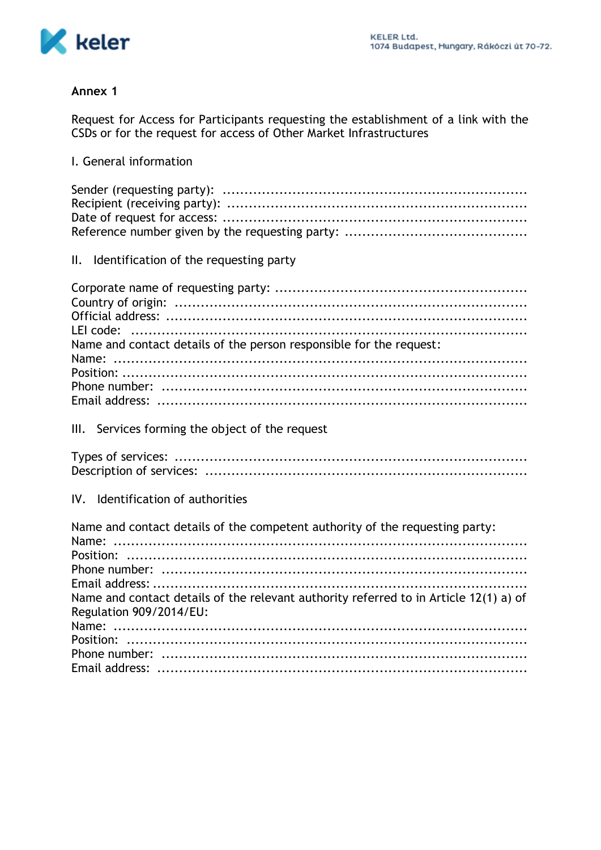

#### Annex 1

Request for Access for Participants requesting the establishment of a link with the CSDs or for the request for access of Other Market Infrastructures

# I. General information

## II. Identification of the requesting party

| Name and contact details of the person responsible for the request: |
|---------------------------------------------------------------------|
|                                                                     |
|                                                                     |
|                                                                     |
|                                                                     |

## III. Services forming the object of the request

#### IV. Identification of authorities

| Name and contact details of the competent authority of the requesting party:          |
|---------------------------------------------------------------------------------------|
|                                                                                       |
|                                                                                       |
|                                                                                       |
| Name and contact details of the relevant authority referred to in Article 12(1) a) of |
| Regulation 909/2014/EU:                                                               |
|                                                                                       |
|                                                                                       |
|                                                                                       |
|                                                                                       |